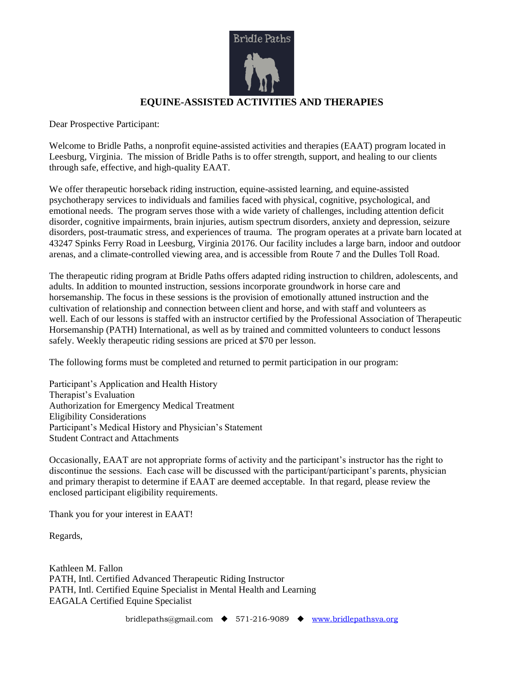

Dear Prospective Participant:

Welcome to Bridle Paths, a nonprofit equine-assisted activities and therapies (EAAT) program located in Leesburg, Virginia. The mission of Bridle Paths is to offer strength, support, and healing to our clients through safe, effective, and high-quality EAAT.

We offer therapeutic horseback riding instruction, equine-assisted learning, and equine-assisted psychotherapy services to individuals and families faced with physical, cognitive, psychological, and emotional needs. The program serves those with a wide variety of challenges, including attention deficit disorder, cognitive impairments, brain injuries, autism spectrum disorders, anxiety and depression, seizure disorders, post-traumatic stress, and experiences of trauma. The program operates at a private barn located at 43247 Spinks Ferry Road in Leesburg, Virginia 20176. Our facility includes a large barn, indoor and outdoor arenas, and a climate-controlled viewing area, and is accessible from Route 7 and the Dulles Toll Road.

The therapeutic riding program at Bridle Paths offers adapted riding instruction to children, adolescents, and adults. In addition to mounted instruction, sessions incorporate groundwork in horse care and horsemanship. The focus in these sessions is the provision of emotionally attuned instruction and the cultivation of relationship and connection between client and horse, and with staff and volunteers as well. Each of our lessons is staffed with an instructor certified by the Professional Association of Therapeutic Horsemanship (PATH) International, as well as by trained and committed volunteers to conduct lessons safely. Weekly therapeutic riding sessions are priced at \$70 per lesson.

The following forms must be completed and returned to permit participation in our program:

Participant's Application and Health History Therapist's Evaluation Authorization for Emergency Medical Treatment Eligibility Considerations Participant's Medical History and Physician's Statement Student Contract and Attachments

Occasionally, EAAT are not appropriate forms of activity and the participant's instructor has the right to discontinue the sessions. Each case will be discussed with the participant/participant's parents, physician and primary therapist to determine if EAAT are deemed acceptable. In that regard, please review the enclosed participant eligibility requirements.

Thank you for your interest in EAAT!

Regards,

Kathleen M. Fallon PATH, Intl. Certified Advanced Therapeutic Riding Instructor PATH, Intl. Certified Equine Specialist in Mental Health and Learning EAGALA Certified Equine Specialist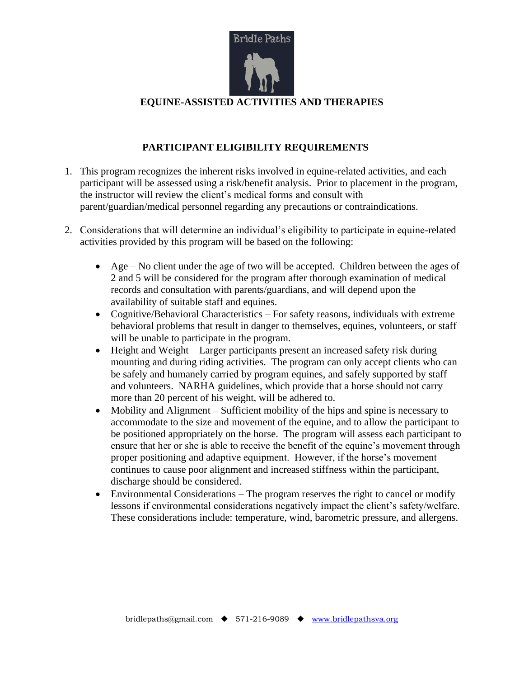

# **PARTICIPANT ELIGIBILITY REQUIREMENTS**

- 1. This program recognizes the inherent risks involved in equine-related activities, and each participant will be assessed using a risk/benefit analysis. Prior to placement in the program, the instructor will review the client's medical forms and consult with parent/guardian/medical personnel regarding any precautions or contraindications.
- 2. Considerations that will determine an individual's eligibility to participate in equine-related activities provided by this program will be based on the following:
	- Age No client under the age of two will be accepted. Children between the ages of 2 and 5 will be considered for the program after thorough examination of medical records and consultation with parents/guardians, and will depend upon the availability of suitable staff and equines.
	- Cognitive/Behavioral Characteristics For safety reasons, individuals with extreme behavioral problems that result in danger to themselves, equines, volunteers, or staff will be unable to participate in the program.
	- Height and Weight Larger participants present an increased safety risk during mounting and during riding activities. The program can only accept clients who can be safely and humanely carried by program equines, and safely supported by staff and volunteers. NARHA guidelines, which provide that a horse should not carry more than 20 percent of his weight, will be adhered to.
	- Mobility and Alignment Sufficient mobility of the hips and spine is necessary to accommodate to the size and movement of the equine, and to allow the participant to be positioned appropriately on the horse. The program will assess each participant to ensure that her or she is able to receive the benefit of the equine's movement through proper positioning and adaptive equipment. However, if the horse's movement continues to cause poor alignment and increased stiffness within the participant, discharge should be considered.
	- Environmental Considerations The program reserves the right to cancel or modify lessons if environmental considerations negatively impact the client's safety/welfare. These considerations include: temperature, wind, barometric pressure, and allergens.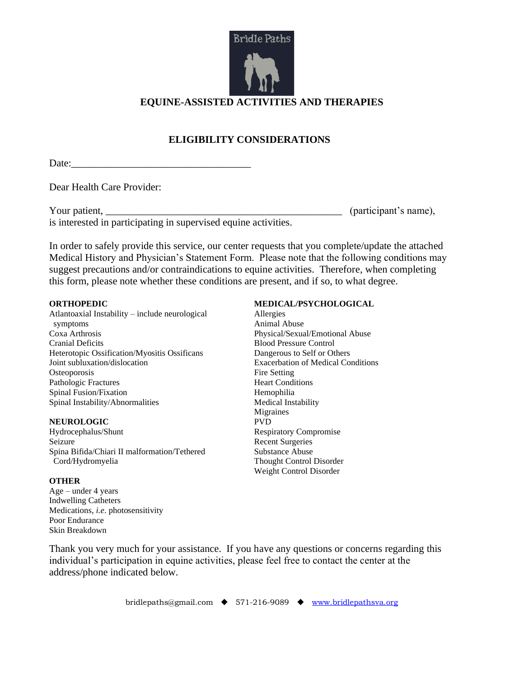

# **ELIGIBILITY CONSIDERATIONS**

Date:\_\_\_\_\_\_\_\_\_\_\_\_\_\_\_\_\_\_\_\_\_\_\_\_\_\_\_\_\_\_\_\_\_\_\_

Dear Health Care Provider:

Your patient, \_\_\_\_\_\_\_\_\_\_\_\_\_\_\_\_\_\_\_\_\_\_\_\_\_\_\_\_\_\_\_\_\_\_\_\_\_\_\_\_\_\_\_\_\_\_ (participant's name), is interested in participating in supervised equine activities.

In order to safely provide this service, our center requests that you complete/update the attached Medical History and Physician's Statement Form. Please note that the following conditions may suggest precautions and/or contraindications to equine activities. Therefore, when completing this form, please note whether these conditions are present, and if so, to what degree.

#### **ORTHOPEDIC**

Atlantoaxial Instability – include neurological symptoms Coxa Arthrosis Cranial Deficits Heterotopic Ossification/Myositis Ossificans Joint subluxation/dislocation **Osteoporosis** Pathologic Fractures Spinal Fusion/Fixation Spinal Instability/Abnormalities

#### **NEUROLOGIC**

Hydrocephalus/Shunt Seizure Spina Bifida/Chiari II malformation/Tethered Cord/Hydromyelia

#### **OTHER**

 $Age - under 4 years$ Indwelling Catheters Medications, *i.e*. photosensitivity Poor Endurance Skin Breakdown

#### **MEDICAL/PSYCHOLOGICAL**

Allergies Animal Abuse Physical/Sexual/Emotional Abuse Blood Pressure Control Dangerous to Self or Others Exacerbation of Medical Conditions Fire Setting Heart Conditions Hemophilia Medical Instability Migraines PVD Respiratory Compromise Recent Surgeries Substance Abuse Thought Control Disorder Weight Control Disorder

Thank you very much for your assistance. If you have any questions or concerns regarding this individual's participation in equine activities, please feel free to contact the center at the address/phone indicated below.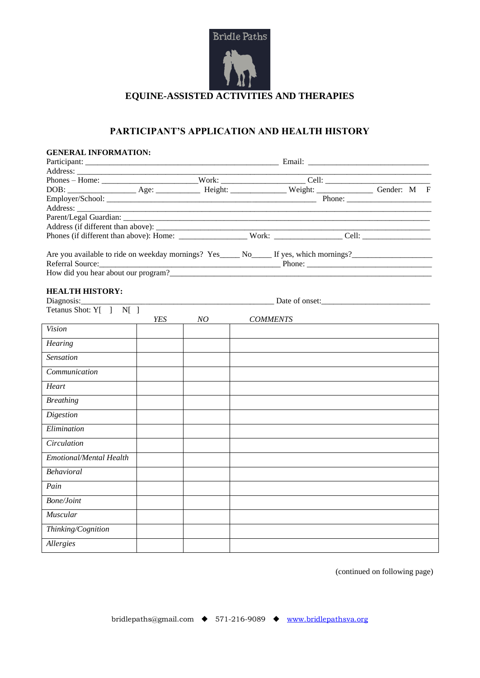

# **PARTICIPANT'S APPLICATION AND HEALTH HISTORY**

| <b>GENERAL INFORMATION:</b> |     |    |  |                 |  |  |  |
|-----------------------------|-----|----|--|-----------------|--|--|--|
|                             |     |    |  |                 |  |  |  |
|                             |     |    |  |                 |  |  |  |
|                             |     |    |  |                 |  |  |  |
|                             |     |    |  |                 |  |  |  |
|                             |     |    |  |                 |  |  |  |
|                             |     |    |  |                 |  |  |  |
|                             |     |    |  |                 |  |  |  |
|                             |     |    |  |                 |  |  |  |
|                             |     |    |  |                 |  |  |  |
|                             |     |    |  |                 |  |  |  |
| Referral Source:            |     |    |  |                 |  |  |  |
|                             |     |    |  |                 |  |  |  |
|                             |     |    |  |                 |  |  |  |
| <b>HEALTH HISTORY:</b>      |     |    |  |                 |  |  |  |
| Diagnosis:                  |     |    |  |                 |  |  |  |
| Tetanus Shot: Y[ ] N[ ]     |     |    |  |                 |  |  |  |
|                             | YES | NO |  | <b>COMMENTS</b> |  |  |  |
| Vision                      |     |    |  |                 |  |  |  |
| Hearing                     |     |    |  |                 |  |  |  |
| Sensation                   |     |    |  |                 |  |  |  |
| Communication               |     |    |  |                 |  |  |  |
| Heart                       |     |    |  |                 |  |  |  |
| <b>Breathing</b>            |     |    |  |                 |  |  |  |
| <b>Digestion</b>            |     |    |  |                 |  |  |  |
| Elimination                 |     |    |  |                 |  |  |  |
| <i>Circulation</i>          |     |    |  |                 |  |  |  |
| Emotional/Mental Health     |     |    |  |                 |  |  |  |
| Behavioral                  |     |    |  |                 |  |  |  |
| Pain                        |     |    |  |                 |  |  |  |
| <b>Bone/Joint</b>           |     |    |  |                 |  |  |  |
| Muscular                    |     |    |  |                 |  |  |  |
| Thinking/Cognition          |     |    |  |                 |  |  |  |
| Allergies                   |     |    |  |                 |  |  |  |

(continued on following page)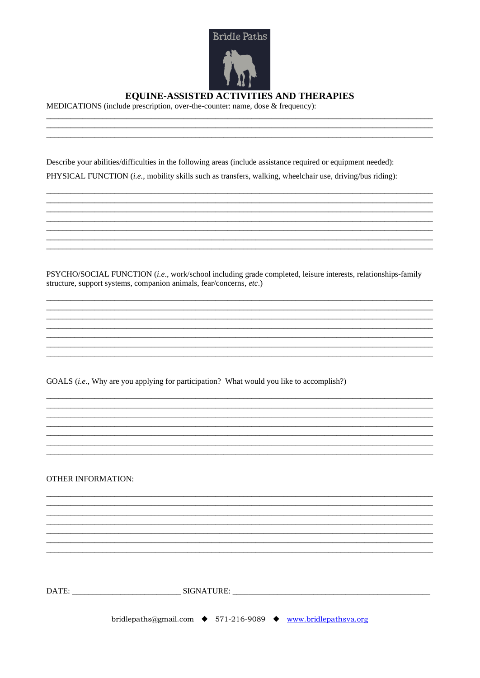

MEDICATIONS (include prescription, over-the-counter: name, dose & frequency):

Describe your abilities/difficulties in the following areas (include assistance required or equipment needed): PHYSICAL FUNCTION (i.e., mobility skills such as transfers, walking, wheelchair use, driving/bus riding):

PSYCHO/SOCIAL FUNCTION (i.e., work/school including grade completed, leisure interests, relationships-family structure, support systems, companion animals, fear/concerns, etc.)

GOALS (i.e., Why are you applying for participation? What would you like to accomplish?)

**OTHER INFORMATION:** 

bridlepaths@gmail.com ◆ 571-216-9089 ◆ www.bridlepathsva.org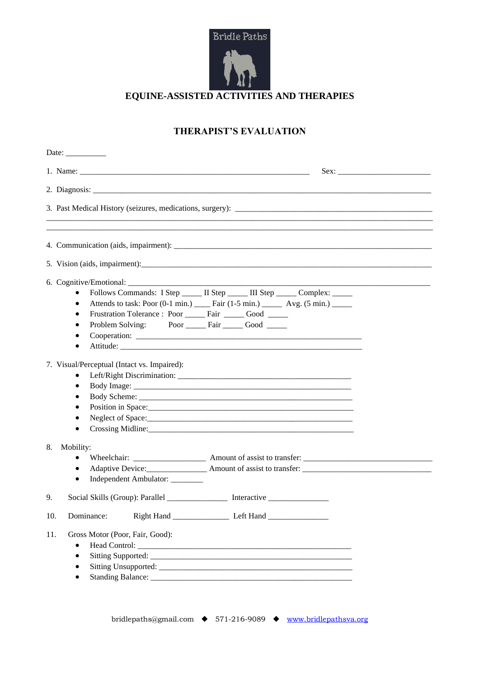

# **THERAPIST'S EVALUATION**

| Date: $\_\_$                                                                                                                                                             |                                                                                                                                                                       |
|--------------------------------------------------------------------------------------------------------------------------------------------------------------------------|-----------------------------------------------------------------------------------------------------------------------------------------------------------------------|
|                                                                                                                                                                          |                                                                                                                                                                       |
|                                                                                                                                                                          |                                                                                                                                                                       |
|                                                                                                                                                                          |                                                                                                                                                                       |
|                                                                                                                                                                          |                                                                                                                                                                       |
|                                                                                                                                                                          |                                                                                                                                                                       |
|                                                                                                                                                                          |                                                                                                                                                                       |
| $\bullet$<br>$\bullet$<br>Frustration Tolerance: Poor ______ Fair ______ Good ______<br>$\bullet$<br>Problem Solving: Poor _______ Fair _______ Good ______<br>$\bullet$ | Follows Commands: I Step _____ II Step _____ III Step _____ Complex: _____<br>Attends to task: Poor (0-1 min.) _______ Fair (1-5 min.) ________ Avg. (5 min.) _______ |
| 7. Visual/Perceptual (Intact vs. Impaired):<br>$\bullet$<br>٠<br>$\bullet$<br>٠<br>$\bullet$<br>٠                                                                        |                                                                                                                                                                       |
| 8.<br>Mobility:<br>٠<br>$\bullet$<br>Independent Ambulator: ________<br>$\bullet$                                                                                        | Adaptive Device: Amount of assist to transfer:                                                                                                                        |
| Social Skills (Group): Parallel _________________ Interactive __________________<br>9.                                                                                   |                                                                                                                                                                       |
| Dominance:<br>10.                                                                                                                                                        |                                                                                                                                                                       |
| Gross Motor (Poor, Fair, Good):<br>11.<br>$\bullet$<br>$\bullet$                                                                                                         |                                                                                                                                                                       |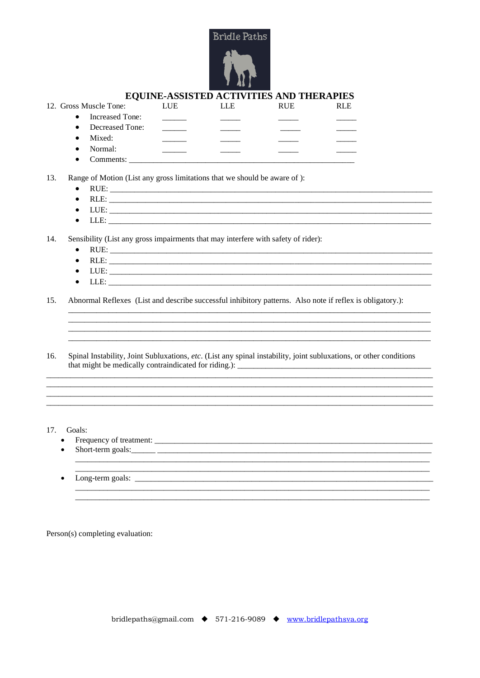

| 12. Gross Muscle Tone:       | LUE | LLE | <b>RUE</b> | <b>RLE</b> |
|------------------------------|-----|-----|------------|------------|
| Increased Tone:<br>$\bullet$ |     |     |            |            |
| Decreased Tone:<br>$\bullet$ |     |     |            |            |
| Mixed:<br>$\bullet$          |     |     |            |            |
| Normal:<br>$\bullet$         |     |     |            |            |
| Comments:                    |     |     |            |            |

13. Range of Motion (List any gross limitations that we should be aware of):

- $\bullet$
- 
- $LUE:$  $\bullet$
- LLE:  $\bullet$

14. Sensibility (List any gross impairments that may interfere with safety of rider):

- RUE: No. 1994  $\bullet$
- $\bullet$
- $\bullet$
- $\bullet$  $LLE:$

Abnormal Reflexes (List and describe successful inhibitory patterns. Also note if reflex is obligatory.): 15.

16. Spinal Instability, Joint Subluxations, etc. (List any spinal instability, joint subluxations, or other conditions 

<u> 1989 - Jan James James James James James James James James James James James James James James James James J</u>

<u> 1989 - Jan James James James James James James James James James James James James James James James James J</u>

17. Goals:

- 
- 
- $\bullet$

Person(s) completing evaluation: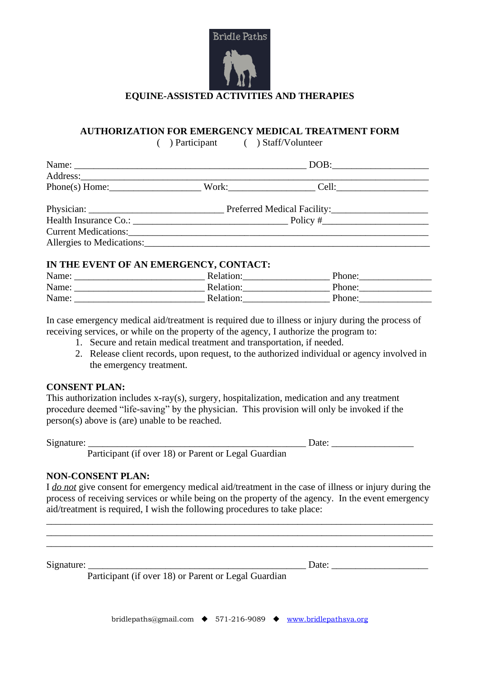

### **AUTHORIZATION FOR EMERGENCY MEDICAL TREATMENT FORM**

Current Medications:

( ) Participant ( ) Staff/Volunteer

|                       |                             | DOB:  |  |  |
|-----------------------|-----------------------------|-------|--|--|
| Address:              |                             |       |  |  |
| $Phone(s)$ Home:      | Work:                       | Cell: |  |  |
|                       | Preferred Medical Facility: |       |  |  |
| Health Insurance Co.: | Policy #                    |       |  |  |

### **IN THE EVENT OF AN EMERGENCY, CONTACT:**

Allergies to Medications:

| Name: | Relation: | Phone: |
|-------|-----------|--------|
| Name: | Relation: | Phone: |
| Name: | Relation: | Phone: |

In case emergency medical aid/treatment is required due to illness or injury during the process of receiving services, or while on the property of the agency, I authorize the program to:

- 1. Secure and retain medical treatment and transportation, if needed.
- 2. Release client records, upon request, to the authorized individual or agency involved in the emergency treatment.

#### **CONSENT PLAN:**

This authorization includes x-ray(s), surgery, hospitalization, medication and any treatment procedure deemed "life-saving" by the physician. This provision will only be invoked if the person(s) above is (are) unable to be reached.

Signature: \_\_\_\_\_\_\_\_\_\_\_\_\_\_\_\_\_\_\_\_\_\_\_\_\_\_\_\_\_\_\_\_\_\_\_\_\_\_\_\_\_\_\_\_\_ Date: \_\_\_\_\_\_\_\_\_\_\_\_\_\_\_\_\_

Participant (if over 18) or Parent or Legal Guardian

### **NON-CONSENT PLAN:**

I *do not* give consent for emergency medical aid/treatment in the case of illness or injury during the process of receiving services or while being on the property of the agency. In the event emergency aid/treatment is required, I wish the following procedures to take place:

\_\_\_\_\_\_\_\_\_\_\_\_\_\_\_\_\_\_\_\_\_\_\_\_\_\_\_\_\_\_\_\_\_\_\_\_\_\_\_\_\_\_\_\_\_\_\_\_\_\_\_\_\_\_\_\_\_\_\_\_\_\_\_\_\_\_\_\_\_\_\_\_\_\_\_\_\_\_\_\_ \_\_\_\_\_\_\_\_\_\_\_\_\_\_\_\_\_\_\_\_\_\_\_\_\_\_\_\_\_\_\_\_\_\_\_\_\_\_\_\_\_\_\_\_\_\_\_\_\_\_\_\_\_\_\_\_\_\_\_\_\_\_\_\_\_\_\_\_\_\_\_\_\_\_\_\_\_\_\_\_ \_\_\_\_\_\_\_\_\_\_\_\_\_\_\_\_\_\_\_\_\_\_\_\_\_\_\_\_\_\_\_\_\_\_\_\_\_\_\_\_\_\_\_\_\_\_\_\_\_\_\_\_\_\_\_\_\_\_\_\_\_\_\_\_\_\_\_\_\_\_\_\_\_\_\_\_\_\_\_\_

Signature: \_\_\_\_\_\_\_\_\_\_\_\_\_\_\_\_\_\_\_\_\_\_\_\_\_\_\_\_\_\_\_\_\_\_\_\_\_\_\_\_\_\_\_\_\_ Date: \_\_\_\_\_\_\_\_\_\_\_\_\_\_\_\_\_\_\_\_

Participant (if over 18) or Parent or Legal Guardian

bridlepaths@gmail.com ◆ 571-216-9089 ◆ [www.bridlepathsva.org](http://www.bridlepathsva.org/)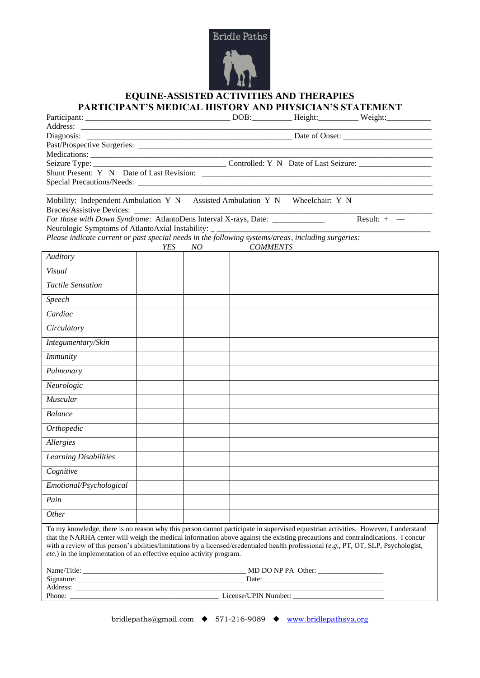

## **EQUINE-ASSISTED ACTIVITIES AND THERAPIES PARTICIPANT'S MEDICAL HISTORY AND PHYSICIAN'S STATEMENT**

| Diagnosis:                                                                                                                                                                                                                                                                                                                                                                                                                                                                            |     |    |                 |                                     |               |
|---------------------------------------------------------------------------------------------------------------------------------------------------------------------------------------------------------------------------------------------------------------------------------------------------------------------------------------------------------------------------------------------------------------------------------------------------------------------------------------|-----|----|-----------------|-------------------------------------|---------------|
|                                                                                                                                                                                                                                                                                                                                                                                                                                                                                       |     |    |                 |                                     |               |
|                                                                                                                                                                                                                                                                                                                                                                                                                                                                                       |     |    |                 |                                     |               |
|                                                                                                                                                                                                                                                                                                                                                                                                                                                                                       |     |    |                 |                                     |               |
| Special Precautions/Needs: Lease Contains and Contains a series of the contains and contains a series of the contains and contains a series of the contains and contains a series of the contains and contains a series of the                                                                                                                                                                                                                                                        |     |    |                 |                                     |               |
|                                                                                                                                                                                                                                                                                                                                                                                                                                                                                       |     |    |                 |                                     |               |
| Mobility: Independent Ambulation Y N Assisted Ambulation Y N Wheelchair: Y N<br><b>Braces/Assistive Devices:</b>                                                                                                                                                                                                                                                                                                                                                                      |     |    |                 |                                     |               |
| For those with Down Syndrome: AtlantoDens Interval X-rays, Date: ______________<br>Neurologic Symptoms of AtlantoAxial Instability: _ _____________________________                                                                                                                                                                                                                                                                                                                   |     |    |                 |                                     | Result: $+$ - |
| Please indicate current or past special needs in the following systems/areas, including surgeries:                                                                                                                                                                                                                                                                                                                                                                                    |     |    |                 |                                     |               |
|                                                                                                                                                                                                                                                                                                                                                                                                                                                                                       | YES | NO | <b>COMMENTS</b> |                                     |               |
| Auditory                                                                                                                                                                                                                                                                                                                                                                                                                                                                              |     |    |                 |                                     |               |
| Visual                                                                                                                                                                                                                                                                                                                                                                                                                                                                                |     |    |                 |                                     |               |
| <b>Tactile Sensation</b>                                                                                                                                                                                                                                                                                                                                                                                                                                                              |     |    |                 |                                     |               |
| Speech                                                                                                                                                                                                                                                                                                                                                                                                                                                                                |     |    |                 |                                     |               |
| Cardiac                                                                                                                                                                                                                                                                                                                                                                                                                                                                               |     |    |                 |                                     |               |
| Circulatory                                                                                                                                                                                                                                                                                                                                                                                                                                                                           |     |    |                 |                                     |               |
| Integumentary/Skin                                                                                                                                                                                                                                                                                                                                                                                                                                                                    |     |    |                 |                                     |               |
| <i>Immunity</i>                                                                                                                                                                                                                                                                                                                                                                                                                                                                       |     |    |                 |                                     |               |
| Pulmonary                                                                                                                                                                                                                                                                                                                                                                                                                                                                             |     |    |                 |                                     |               |
| Neurologic                                                                                                                                                                                                                                                                                                                                                                                                                                                                            |     |    |                 |                                     |               |
| Muscular                                                                                                                                                                                                                                                                                                                                                                                                                                                                              |     |    |                 |                                     |               |
| <b>Balance</b>                                                                                                                                                                                                                                                                                                                                                                                                                                                                        |     |    |                 |                                     |               |
| Orthopedic                                                                                                                                                                                                                                                                                                                                                                                                                                                                            |     |    |                 |                                     |               |
| <b>Allergies</b>                                                                                                                                                                                                                                                                                                                                                                                                                                                                      |     |    |                 |                                     |               |
| <b>Learning Disabilities</b>                                                                                                                                                                                                                                                                                                                                                                                                                                                          |     |    |                 |                                     |               |
| Cognitive                                                                                                                                                                                                                                                                                                                                                                                                                                                                             |     |    |                 |                                     |               |
| Emotional/Psychological                                                                                                                                                                                                                                                                                                                                                                                                                                                               |     |    |                 |                                     |               |
| Pain                                                                                                                                                                                                                                                                                                                                                                                                                                                                                  |     |    |                 |                                     |               |
| Other                                                                                                                                                                                                                                                                                                                                                                                                                                                                                 |     |    |                 |                                     |               |
| To my knowledge, there is no reason why this person cannot participate in supervised equestrian activities. However, I understand<br>that the NARHA center will weigh the medical information above against the existing precautions and contraindications. I concur<br>with a review of this person's abilities/limitations by a licensed/credentialed health professional (e.g., PT, OT, SLP, Psychologist,<br>etc.) in the implementation of an effective equine activity program. |     |    |                 |                                     |               |
|                                                                                                                                                                                                                                                                                                                                                                                                                                                                                       |     |    |                 | $M$ D DO NP PA Other: $\frac{1}{2}$ |               |
|                                                                                                                                                                                                                                                                                                                                                                                                                                                                                       |     |    |                 |                                     |               |
| Address: <u>Note</u> 2008. The second state of the second state and state and state and state and state and state and state and state and state and state and state and state and state and state and state and state and state and                                                                                                                                                                                                                                                   |     |    |                 |                                     |               |
|                                                                                                                                                                                                                                                                                                                                                                                                                                                                                       |     |    |                 |                                     |               |